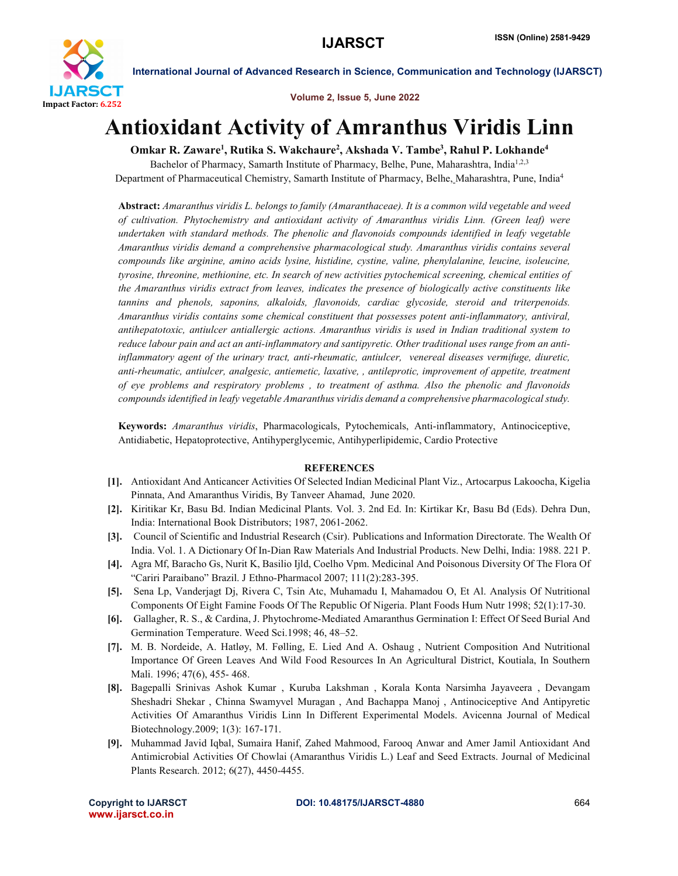

International Journal of Advanced Research in Science, Communication and Technology (IJARSCT)

Volume 2, Issue 5, June 2022

## Antioxidant Activity of Amranthus Viridis Linn

Omkar R. Zaware<sup>1</sup>, Rutika S. Wakchaure<sup>2</sup>, Akshada V. Tambe<sup>3</sup>, Rahul P. Lokhande<sup>4</sup>

Bachelor of Pharmacy, Samarth Institute of Pharmacy, Belhe, Pune, Maharashtra, India<sup>1,2,3</sup> Department of Pharmaceutical Chemistry, Samarth Institute of Pharmacy, Belhe, Maharashtra, Pune, India<sup>4</sup>

Abstract: *Amaranthus viridis L. belongs to family (Amaranthaceae). It is a common wild vegetable and weed of cultivation. Phytochemistry and antioxidant activity of Amaranthus viridis Linn. (Green leaf) were undertaken with standard methods. The phenolic and flavonoids compounds identified in leafy vegetable Amaranthus viridis demand a comprehensive pharmacological study. Amaranthus viridis contains several compounds like arginine, amino acids lysine, histidine, cystine, valine, phenylalanine, leucine, isoleucine, tyrosine, threonine, methionine, etc. In search of new activities pytochemical screening, chemical entities of the Amaranthus viridis extract from leaves, indicates the presence of biologically active constituents like tannins and phenols, saponins, alkaloids, flavonoids, cardiac glycoside, steroid and triterpenoids. Amaranthus viridis contains some chemical constituent that possesses potent anti-inflammatory, antiviral, antihepatotoxic, antiulcer antiallergic actions. Amaranthus viridis is used in Indian traditional system to reduce labour pain and act an anti-inflammatory and santipyretic. Other traditional uses range from an antiinflammatory agent of the urinary tract, anti-rheumatic, antiulcer, venereal diseases vermifuge, diuretic, anti-rheumatic, antiulcer, analgesic, antiemetic, laxative, , antileprotic, improvement of appetite, treatment of eye problems and respiratory problems , to treatment of asthma. Also the phenolic and flavonoids compounds identified in leafy vegetable Amaranthus viridis demand a comprehensive pharmacological study.*

Keywords: *Amaranthus viridis*, Pharmacologicals, Pytochemicals, Anti-inflammatory, Antinociceptive, Antidiabetic, Hepatoprotective, Antihyperglycemic, Antihyperlipidemic, Cardio Protective

## **REFERENCES**

- [1]. Antioxidant And Anticancer Activities Of Selected Indian Medicinal Plant Viz., Artocarpus Lakoocha, Kigelia Pinnata, And Amaranthus Viridis, By Tanveer Ahamad, June 2020.
- [2]. Kiritikar Kr, Basu Bd. Indian Medicinal Plants. Vol. 3. 2nd Ed. In: Kirtikar Kr, Basu Bd (Eds). Dehra Dun, India: International Book Distributors; 1987, 2061-2062.
- [3]. Council of Scientific and Industrial Research (Csir). Publications and Information Directorate. The Wealth Of India. Vol. 1. A Dictionary Of In-Dian Raw Materials And Industrial Products. New Delhi, India: 1988. 221 P.
- [4]. Agra Mf, Baracho Gs, Nurit K, Basilio Ijld, Coelho Vpm. Medicinal And Poisonous Diversity Of The Flora Of "Cariri Paraibano" Brazil. J Ethno-Pharmacol 2007; 111(2):283-395.
- [5]. Sena Lp, Vanderjagt Dj, Rivera C, Tsin Atc, Muhamadu I, Mahamadou O, Et Al. Analysis Of Nutritional Components Of Eight Famine Foods Of The Republic Of Nigeria. Plant Foods Hum Nutr 1998; 52(1):17-30.
- [6]. Gallagher, R. S., & Cardina, J. Phytochrome-Mediated Amaranthus Germination I: Effect Of Seed Burial And Germination Temperature. Weed Sci.1998; 46, 48–52.
- [7]. M. B. Nordeide, A. Hatløy, M. Følling, E. Lied And A. Oshaug , Nutrient Composition And Nutritional Importance Of Green Leaves And Wild Food Resources In An Agricultural District, Koutiala, In Southern Mali. 1996; 47(6), 455- 468.
- [8]. Bagepalli Srinivas Ashok Kumar , Kuruba Lakshman , Korala Konta Narsimha Jayaveera , Devangam Sheshadri Shekar , Chinna Swamyvel Muragan , And Bachappa Manoj , Antinociceptive And Antipyretic Activities Of Amaranthus Viridis Linn In Different Experimental Models. Avicenna Journal of Medical Biotechnology.2009; 1(3): 167-171.
- [9]. Muhammad Javid Iqbal, Sumaira Hanif, Zahed Mahmood, Farooq Anwar and Amer Jamil Antioxidant And Antimicrobial Activities Of Chowlai (Amaranthus Viridis L.) Leaf and Seed Extracts. Journal of Medicinal Plants Research. 2012; 6(27), 4450-4455.